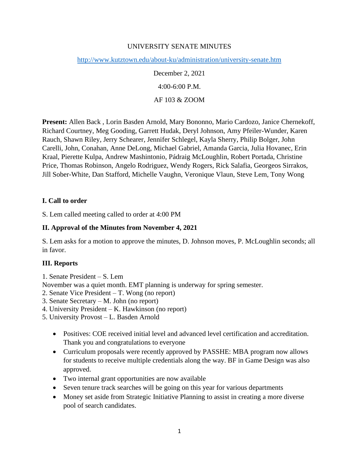## UNIVERSITY SENATE MINUTES

<http://www.kutztown.edu/about-ku/administration/university-senate.htm>

December 2, 2021 4:00-6:00 P.M. AF 103 & ZOOM

**Present:** Allen Back , Lorin Basden Arnold, Mary Bononno, Mario Cardozo, Janice Chernekoff, Richard Courtney, Meg Gooding, Garrett Hudak, Deryl Johnson, Amy Pfeiler-Wunder, Karen Rauch, Shawn Riley, Jerry Schearer, Jennifer Schlegel, Kayla Sherry, Philip Bolger, John Carelli, John, Conahan, Anne DeLong, Michael Gabriel, Amanda Garcia, Julia Hovanec, Erin Kraal, Pierette Kulpa, Andrew Mashintonio, Pádraig McLoughlin, Robert Portada, Christine Price, Thomas Robinson, Angelo Rodriguez, Wendy Rogers, Rick Salafia, Georgeos Sirrakos, Jill Sober-White, Dan Stafford, Michelle Vaughn, Veronique Vlaun, Steve Lem, Tony Wong

### **I. Call to order**

S. Lem called meeting called to order at 4:00 PM

### **II. Approval of the Minutes from November 4, 2021**

S. Lem asks for a motion to approve the minutes, D. Johnson moves, P. McLoughlin seconds; all in favor.

### **III. Reports**

1. Senate President – S. Lem

November was a quiet month. EMT planning is underway for spring semester.

- 2. Senate Vice President T. Wong (no report)
- 3. Senate Secretary M. John (no report)
- 4. University President K. Hawkinson (no report)
- 5. University Provost L. Basden Arnold
	- Positives: COE received initial level and advanced level certification and accreditation. Thank you and congratulations to everyone
	- Curriculum proposals were recently approved by PASSHE: MBA program now allows for students to receive multiple credentials along the way. BF in Game Design was also approved.
	- Two internal grant opportunities are now available
	- Seven tenure track searches will be going on this year for various departments
	- Money set aside from Strategic Initiative Planning to assist in creating a more diverse pool of search candidates.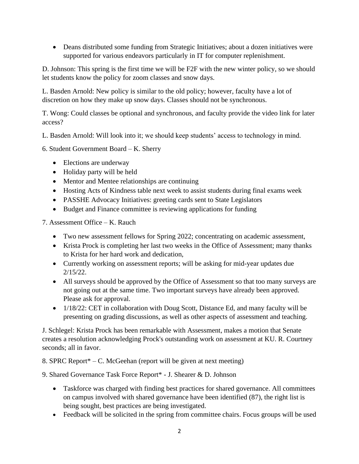• Deans distributed some funding from Strategic Initiatives; about a dozen initiatives were supported for various endeavors particularly in IT for computer replenishment.

D. Johnson: This spring is the first time we will be F2F with the new winter policy, so we should let students know the policy for zoom classes and snow days.

L. Basden Arnold: New policy is similar to the old policy; however, faculty have a lot of discretion on how they make up snow days. Classes should not be synchronous.

T. Wong: Could classes be optional and synchronous, and faculty provide the video link for later access?

- L. Basden Arnold: Will look into it; we should keep students' access to technology in mind.
- 6. Student Government Board K. Sherry
	- Elections are underway
	- Holiday party will be held
	- Mentor and Mentee relationships are continuing
	- Hosting Acts of Kindness table next week to assist students during final exams week
	- PASSHE Advocacy Initiatives: greeting cards sent to State Legislators
	- Budget and Finance committee is reviewing applications for funding

7. Assessment Office – K. Rauch

- Two new assessment fellows for Spring 2022; concentrating on academic assessment,
- Krista Prock is completing her last two weeks in the Office of Assessment; many thanks to Krista for her hard work and dedication,
- Currently working on assessment reports; will be asking for mid-year updates due 2/15/22.
- All surveys should be approved by the Office of Assessment so that too many surveys are not going out at the same time. Two important surveys have already been approved. Please ask for approval.
- 1/18/22: CET in collaboration with Doug Scott, Distance Ed, and many faculty will be presenting on grading discussions, as well as other aspects of assessment and teaching.

J. Schlegel: Krista Prock has been remarkable with Assessment, makes a motion that Senate creates a resolution acknowledging Prock's outstanding work on assessment at KU. R. Courtney seconds; all in favor.

8. SPRC Report $*-C$ . McGeehan (report will be given at next meeting)

9. Shared Governance Task Force Report\* - J. Shearer & D. Johnson

- Taskforce was charged with finding best practices for shared governance. All committees on campus involved with shared governance have been identified (87), the right list is being sought, best practices are being investigated.
- Feedback will be solicited in the spring from committee chairs. Focus groups will be used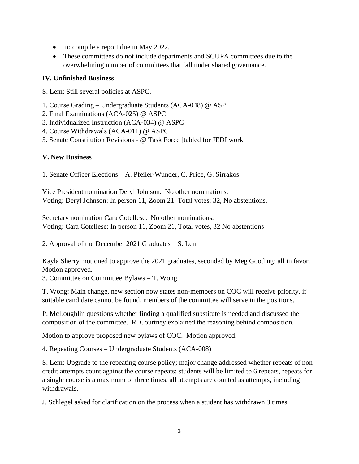- to compile a report due in May 2022,
- These committees do not include departments and SCUPA committees due to the overwhelming number of committees that fall under shared governance.

# **IV. Unfinished Business**

S. Lem: Still several policies at ASPC.

- 1. Course Grading Undergraduate Students (ACA-048) @ ASP
- 2. Final Examinations (ACA-025) @ ASPC
- 3. Individualized Instruction (ACA-034) @ ASPC
- 4. Course Withdrawals (ACA-011) @ ASPC
- 5. Senate Constitution Revisions @ Task Force [tabled for JEDI work

# **V. New Business**

1. Senate Officer Elections – A. Pfeiler-Wunder, C. Price, G. Sirrakos

Vice President nomination Deryl Johnson. No other nominations. Voting: Deryl Johnson: In person 11, Zoom 21. Total votes: 32, No abstentions.

Secretary nomination Cara Cotellese. No other nominations. Voting: Cara Cotellese: In person 11, Zoom 21, Total votes, 32 No abstentions

2. Approval of the December 2021 Graduates – S. Lem

Kayla Sherry motioned to approve the 2021 graduates, seconded by Meg Gooding; all in favor. Motion approved.

3. Committee on Committee Bylaws – T. Wong

T. Wong: Main change, new section now states non-members on COC will receive priority, if suitable candidate cannot be found, members of the committee will serve in the positions.

P. McLoughlin questions whether finding a qualified substitute is needed and discussed the composition of the committee. R. Courtney explained the reasoning behind composition.

Motion to approve proposed new bylaws of COC. Motion approved.

4. Repeating Courses – Undergraduate Students (ACA-008)

S. Lem: Upgrade to the repeating course policy; major change addressed whether repeats of noncredit attempts count against the course repeats; students will be limited to 6 repeats, repeats for a single course is a maximum of three times, all attempts are counted as attempts, including withdrawals.

J. Schlegel asked for clarification on the process when a student has withdrawn 3 times.